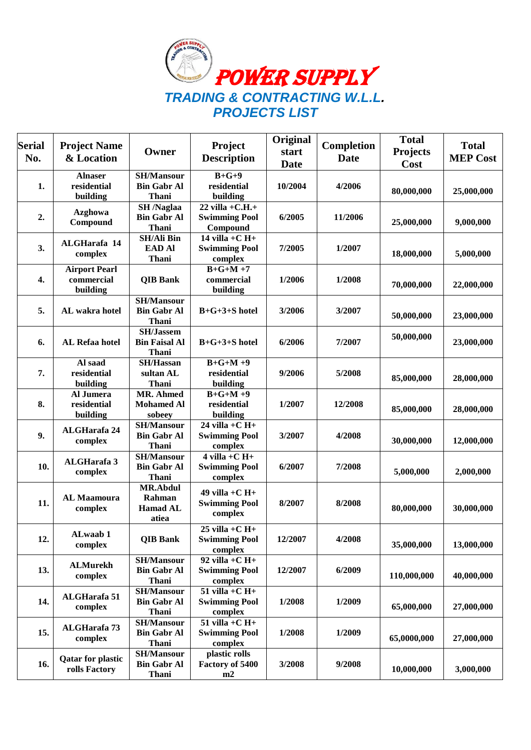

| <b>Serial</b><br>No. | <b>Project Name</b><br>& Location              | Owner                                                       | Project<br><b>Description</b>                          | Original<br>start<br><b>Date</b> | <b>Completion</b><br><b>Date</b> | <b>Total</b><br><b>Projects</b><br>Cost | <b>Total</b><br><b>MEP Cost</b> |
|----------------------|------------------------------------------------|-------------------------------------------------------------|--------------------------------------------------------|----------------------------------|----------------------------------|-----------------------------------------|---------------------------------|
| 1.                   | <b>Alnaser</b><br>residential<br>building      | <b>SH/Mansour</b><br><b>Bin Gabr Al</b><br><b>Thani</b>     | $B+G+9$<br>residential<br>building                     | 10/2004                          | 4/2006                           | 80,000,000                              | 25,000,000                      |
| 2.                   | <b>Azghowa</b><br>Compound                     | <b>SH</b> /Naglaa<br><b>Bin Gabr Al</b><br>Thani            | $22$ villa +C.H.+<br><b>Swimming Pool</b><br>Compound  | 6/2005                           | 11/2006                          | 25,000,000                              | 9,000,000                       |
| 3.                   | ALGHarafa 14<br>complex                        | <b>SH/Ali Bin</b><br><b>EAD Al</b><br><b>Thani</b>          | 14 villa $+C$ H $+$<br><b>Swimming Pool</b><br>complex | 7/2005                           | 1/2007                           | 18,000,000                              | 5,000,000                       |
| 4.                   | <b>Airport Pearl</b><br>commercial<br>building | <b>QIB Bank</b>                                             | $B+G+M+7$<br>commercial<br>building                    | 1/2006                           | 1/2008                           | 70,000,000                              | 22,000,000                      |
| 5.                   | AL wakra hotel                                 | <b>SH/Mansour</b><br><b>Bin Gabr Al</b><br><b>Thani</b>     | $B+G+3+S$ hotel                                        | 3/2006                           | 3/2007                           | 50,000,000                              | 23,000,000                      |
| 6.                   | <b>AL Refaa hotel</b>                          | <b>SH/Jassem</b><br><b>Bin Faisal Al</b><br><b>Thani</b>    | $B+G+3+S$ hotel                                        | 6/2006                           | 7/2007                           | 50,000,000                              | 23,000,000                      |
| 7.                   | Al saad<br>residential<br>building             | $\overline{\text{SH}}$ /Hassan<br>sultan AL<br><b>Thani</b> | $B+G+M+9$<br>residential<br>building                   | 9/2006                           | 5/2008                           | 85,000,000                              | 28,000,000                      |
| 8.                   | Al Jumera<br>residential<br>building           | <b>MR. Ahmed</b><br><b>Mohamed Al</b><br>sobeey             | $B+G+M+9$<br>residential<br>building                   | 1/2007                           | 12/2008                          | 85,000,000                              | 28,000,000                      |
| 9.                   | <b>ALGHarafa 24</b><br>complex                 | <b>SH/Mansour</b><br><b>Bin Gabr Al</b><br><b>Thani</b>     | 24 villa + $C$ H+<br><b>Swimming Pool</b><br>complex   | 3/2007                           | 4/2008                           | 30,000,000                              | 12,000,000                      |
| 10.                  | ALGHarafa 3<br>complex                         | <b>SH/Mansour</b><br><b>Bin Gabr Al</b><br><b>Thani</b>     | $4$ villa +C H+<br><b>Swimming Pool</b><br>complex     | 6/2007                           | 7/2008                           | 5,000,000                               | 2,000,000                       |
| 11.                  | <b>AL Maamoura</b><br>complex                  | <b>MR.Abdul</b><br>Rahman<br><b>Hamad AL</b><br>atiea       | 49 villa $+C$ H $+$<br><b>Swimming Pool</b><br>complex | 8/2007                           | 8/2008                           | 80,000,000                              | 30,000,000                      |
| 12.                  | ALwaab 1<br>complex                            | <b>QIB Bank</b>                                             | $25$ villa +C H+<br><b>Swimming Pool</b><br>complex    | 12/2007                          | 4/2008                           | 35,000,000                              | 13,000,000                      |
| 13.                  | <b>ALMurekh</b><br>complex                     | <b>SH/Mansour</b><br><b>Bin Gabr Al</b><br><b>Thani</b>     | 92 villa + $C$ H+<br><b>Swimming Pool</b><br>complex   | 12/2007                          | 6/2009                           | 110,000,000                             | 40,000,000                      |
| 14.                  | <b>ALGHarafa 51</b><br>complex                 | <b>SH/Mansour</b><br><b>Bin Gabr Al</b><br><b>Thani</b>     | $51$ villa +C H+<br><b>Swimming Pool</b><br>complex    | 1/2008                           | 1/2009                           | 65,000,000                              | 27,000,000                      |
| 15.                  | <b>ALGHarafa 73</b><br>complex                 | <b>SH/Mansour</b><br><b>Bin Gabr Al</b><br><b>Thani</b>     | $51$ villa +C H+<br><b>Swimming Pool</b><br>complex    | 1/2008                           | 1/2009                           | 65,0000,000                             | 27,000,000                      |
| 16.                  | <b>Qatar for plastic</b><br>rolls Factory      | <b>SH/Mansour</b><br><b>Bin Gabr Al</b><br><b>Thani</b>     | plastic rolls<br>Factory of 5400<br>m2                 | 3/2008                           | 9/2008                           | 10,000,000                              | 3,000,000                       |